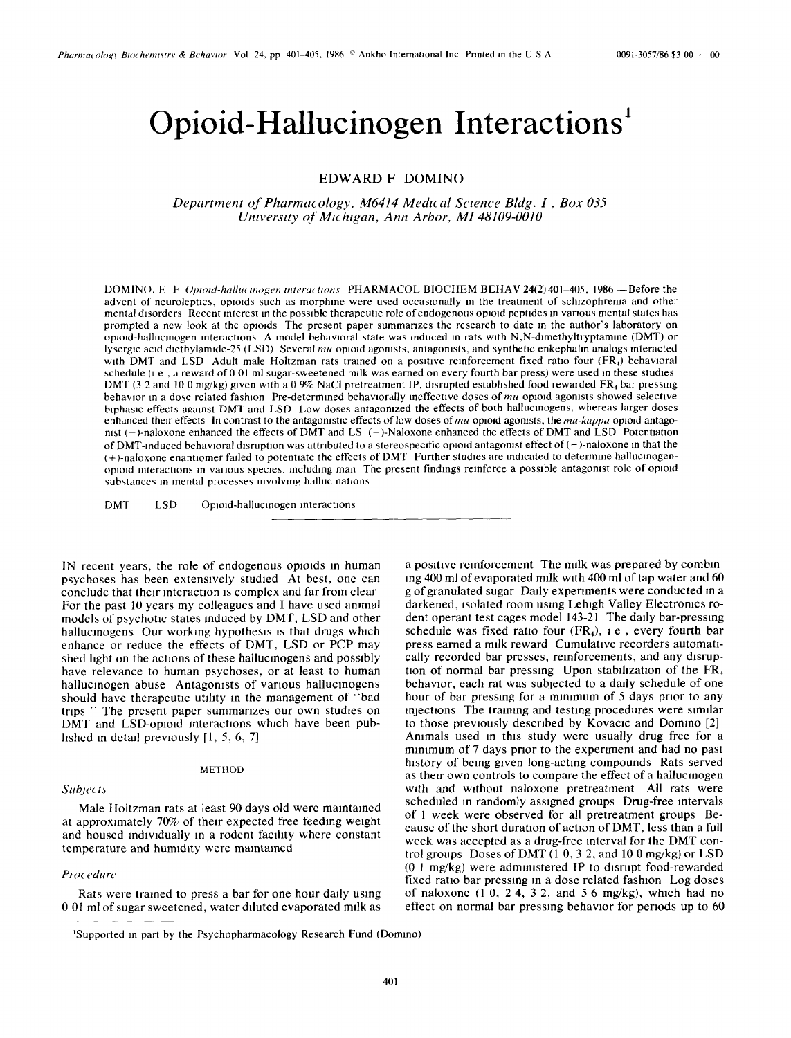# Opioid-Hallucinogen Interactions<sup>1</sup>

# **EDWARD F DOMINO**

Department of Pharmacology, M6414 Medical Science Bldg. I, Box 035 University of Michigan, Ann Arbor, MI 48109-0010

DOMINO, E F Optoid-hallucinogen interactions PHARMACOL BIOCHEM BEHAV 24(2)401-405, 1986 - Before the advent of neuroleptics, opioids such as morphine were used occasionally in the treatment of schizophrenia and other mental disorders Recent interest in the possible therapeutic role of endogenous opioid peptides in various mental states has prompted a new look at the opioids. The present paper summarizes the research to date in the author's laboratory on opioid-hallucinogen interactions A model behavioral state was induced in rats with N.N-dimethyltryptamine (DMT) or lysergic acid diethylamide-25 (LSD) Several mu opioid agonists, antagonists, and synthetic enkephalin analogs interacted with DMT and LSD Adult male Holtzman rats trained on a positive reinforcement fixed ratio four (FR<sub>4</sub>) behavioral schedule ( $i.e.$ , a reward of 0.01 ml sugar-sweetened milk was earned on every fourth bar press) were used in these studies DMT (3.2 and 10.0 mg/kg) given with a 0.9% NaCl pretreatment IP, disrupted established food rewarded FR, bar pressing behavior in a dose related fashion Pre-determined behaviorally ineffective doses of mu opioid agonists showed selective biphasic effects against DMT and LSD Low doses antagonized the effects of both hallucinogens, whereas larger doses enhanced their effects In contrast to the antagonistic effects of low doses of  $mu$  opioid agonists, the  $mu$ -kappa opioid antagonist (-)-naloxone enhanced the effects of DMT and LS (-)-Naloxone enhanced the effects of DMT and LSD Potentiation of DMT-induced behavioral disruption was attributed to a stereospecific opioid antagonist effect of  $(-)$ -naloxone in that the  $(+)$ -naloxone enantiomer failed to potentiate the effects of DMT. Further studies are indicated to determine hallucinogenopioid interactions in various species, including man The present findings reinforce a possible antagonist role of opioid substances in mental processes involving hallucinations

**DMT LSD** Opioid-hallucinogen interactions

IN recent years, the role of endogenous opioids in human psychoses has been extensively studied At best, one can conclude that their interaction is complex and far from clear For the past 10 years my colleagues and I have used animal models of psychotic states induced by DMT, LSD and other hallucinogens Our working hypothesis is that drugs which enhance or reduce the effects of DMT, LSD or PCP may shed light on the actions of these hallucinogens and possibly have relevance to human psychoses, or at least to human hallucinogen abuse Antagonists of various hallucinogens should have therapeutic utility in the management of "bad trips " The present paper summarizes our own studies on DMT and LSD-opioid interactions which have been published in detail previously  $[1, 5, 6, 7]$ 

#### **METHOD**

# **Subjects**

Male Holtzman rats at least 90 days old were maintained at approximately 70% of their expected free feeding weight and housed individually in a rodent facility where constant temperature and humidity were maintained

#### Procedure

Rats were trained to press a bar for one hour daily using 0 01 ml of sugar sweetened, water diluted evaporated milk as

a positive reinforcement. The milk was prepared by combining 400 ml of evaporated milk with 400 ml of tap water and 60 g of granulated sugar Daily experiments were conducted in a darkened, isolated room using Lehigh Valley Electronics rodent operant test cages model 143-21 The daily bar-pressing schedule was fixed ratio four  $(FR<sub>4</sub>)$ , i.e., every fourth bar press earned a milk reward Cumulative recorders automatically recorded bar presses, reinforcements, and any disruption of normal bar pressing Upon stabilization of the FR<sub>4</sub> behavior, each rat was subjected to a daily schedule of one hour of bar pressing for a minimum of 5 days prior to any injections. The training and testing procedures were similar to those previously described by Kovacic and Domino [2] Animals used in this study were usually drug free for a minimum of 7 days prior to the experiment and had no past history of being given long-acting compounds. Rats served as their own controls to compare the effect of a hallucinogen with and without naloxone pretreatment All rats were scheduled in randomly assigned groups Drug-free intervals of 1 week were observed for all pretreatment groups Because of the short duration of action of DMT, less than a full week was accepted as a drug-free interval for the DMT control groups Doses of DMT  $(1\ 0, 3\ 2, \text{ and } 10\ 0 \text{ mg/kg})$  or LSD  $(0 1 mg/kg)$  were administered IP to disrupt food-rewarded fixed ratio bar pressing in a dose related fashion Log doses of naloxone  $(1\ 0, 2\ 4, 3\ 2,$  and 56 mg/kg), which had no effect on normal bar pressing behavior for periods up to 60

<sup>&#</sup>x27;Supported in part by the Psychopharmacology Research Fund (Domino)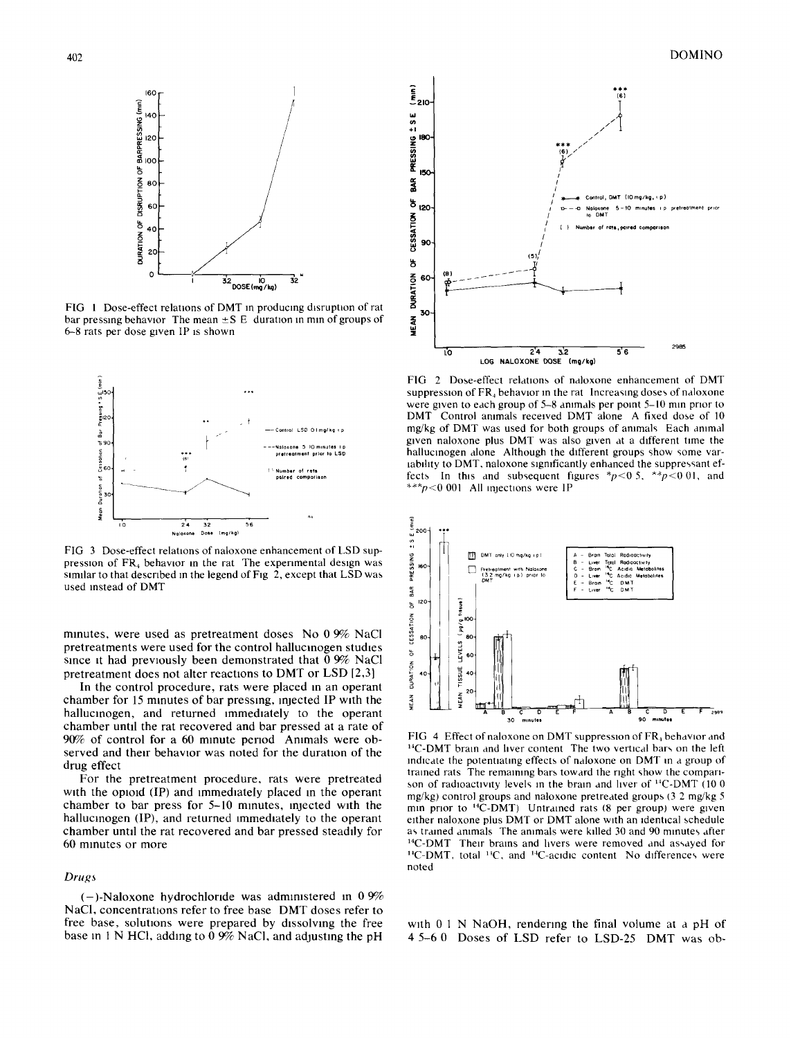

**FIG 1 Dose-effect relations of DMT in producing disruption of rat**  bar pressing behavior The mean  $\pm S$  E duration in min of groups of 6-8 rats per dose given IP is shown



**FIG 3 Dose-effect relations of naloxone enhancement of LSD suppresslon of FR4 behavior in the rat The experimental design was**  similar to that described in the legend of Fig 2, except that LSD was **used instead of DMT** 

**mmutes, were used as pretreatment doses No 0 9% NaCl pretreatments were used for the control hallucinogen studies**  since it had previously been demonstrated that  $0.9\%$  NaCl **pretreatment does not alter reactions to DMT or LSD [2,3]** 

**In the control procedure, rats were placed m an operant**  chamber for 15 minutes of bar pressing, injected IP with the **hallucinogen, and returned immediately to the operant chamber until the rat recovered and bar pressed at a rate of 90% of control for a 60 minute period Ammals were ob**served and their behavior was noted for the duration of the **drug effect** 

**For the pretreatment procedure, rats were pretreated**  with the opioid (IP) and immediately placed in the operant chamber to bar press for 5-10 minutes, injected with the hallucinogen (IP), and returned immediately to the operant chamber until the rat recovered and bar pressed steadily for **60 minutes or more** 

#### *Drugs*

 $(-)$ -Naloxone hydrochloride was administered in 0  $\frac{9}{6}$ **NaCI, concentrations refer to free base DMT doses refer to free base, solutions were prepared by dissolving the free base m 1 N HCI, adding to 0 9% NaC1, and adjusting the pH** 



**FIG 2 Dose-effect relations of naloxone enhancement of DMT**  suppression of FR<sub>4</sub> behavior in the rat Increasing doses of naloxone were given to each group of 5-8 animals per point 5-10 min prior to **DMT Control animals received DMT alone A fixed dose of 10 mg/kg of DMT was used for both groups of animals Each animal given naloxone plus DMT was also given at a different time the hallucinogen alone Although the different groups show some varlablhty to DMT. naloxone slgmficantly enhanced the suppressant ef**fects In this and subsequent figures \*p<0.5, \*\*p<0.01, and **\*\*~p<0 001 All injections were 1P** 



FIG 4 Effect of naloxone on DMT suppression of FR<sub>4</sub> behavior and **~4C-DMT brain and liver content The two vertical bars on the left indicate the potentiating effects of naloxone on DMT in a group of trained rats The remaining bars toward the right show the compari**son of radioactivity levels in the brain and liver of <sup>14</sup>C-DMT (10 0 **mg/kg) control groups and naloxone pretreated groups (3 2 mg/kg 5**  min prior to <sup>14</sup>C-DMT) Untrained rats (8 per group) were given **either naloxone plus DMT or DMT alone with an identical schedule as trained animals The animals were killed 30 and 90 minutes after 14C-DMT Their brains and livers were removed and assayed for**  <sup>14</sup>C-DMT, total <sup>14</sup>C, and <sup>14</sup>C-acidic content No differences were **noted** 

**with 0 1 N NaOH, rendering the final volume at a pH of 4 5-6 0 Doses of LSD refer to LSD-25 DMT was ob-**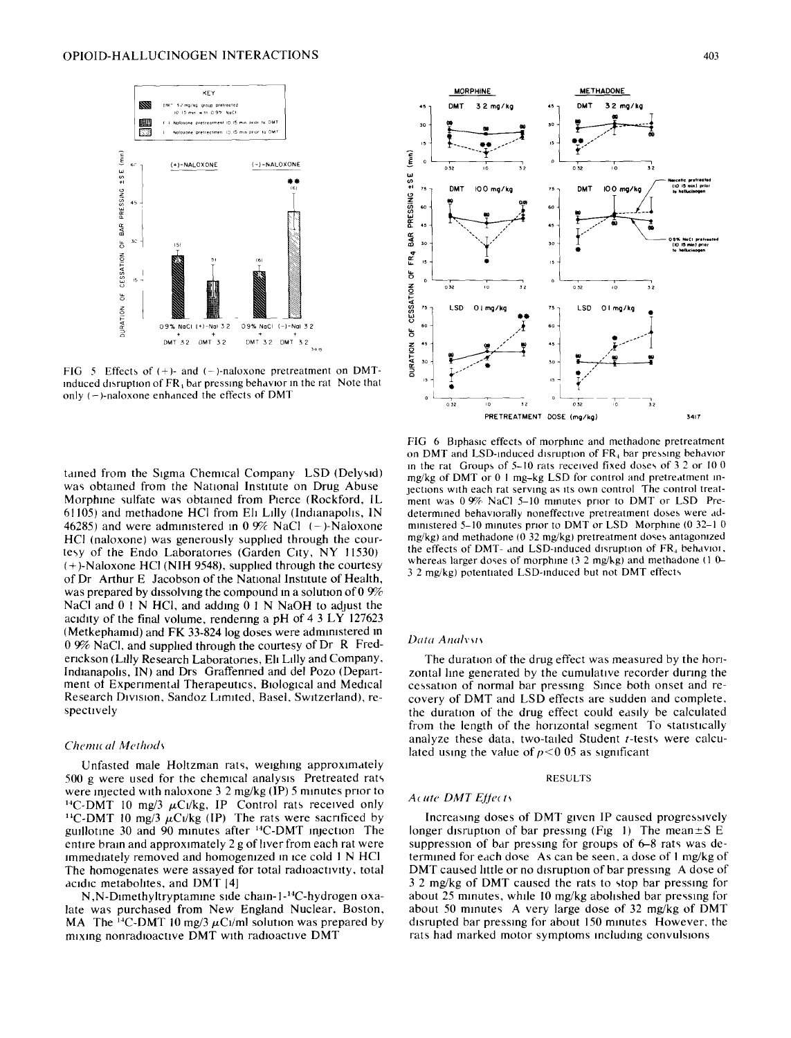

FIG 5 Effects of  $(+)$ - and  $(-)$ -naloxone pretreatment on DMTinduced disruption of  $FR<sub>3</sub>$  bar pressing behavior in the rat Note that only  $(-)$ -naloxone enhanced the effects of DMT

tamed from the Sigma Chemical Company LSD (Delysld) was obtained from the National Institute on Drug Abuse Morphine sulfate was obtained from Pierce (Rockford, IL 61105) and methadone HCl from Eli Lilly (Indianapolis, IN 46285) and were administered in 0.9% NaCl  $(-)$ -Naloxone HCI (naloxone) was generously supplied through the courtesy of the Endo Laboratories (Garden City, NY 11530) (+)-Naloxone HCI (NIH 9548), supphed through the courtesy of Dr Arthur E Jacobson of the National Institute of Health, was prepared by dissolving the compound in a solution of 0  $9\%$ NaCl and  $0 \perp N$  HCl, and adding  $0 \perp N$  NaOH to adjust the acidity of the final volume, rendenng a pH of 4 3 LY 127623 (Metkephamid) and FK 33-824 log doses were administered in 0 9% NaCI, and supplied through the courtesy of Dr R Frederickson (Lilly Research Laboratories, Eli Lilly and Company, Indianapolis, IN) and Drs Graffenned and del Pozo (Department ot Experimental Therapeutics, Biological and Medical Research Division, Sandoz Limited, Basel, Switzerland), respectively

# *Chemu al Method~*

Unfasted male Holtzman rats, weighing approximately 500 g were used for the chemical analysis Pretreated rats were injected with naloxone 3 2 mg/kg (IP) 5 minutes prior to  $^{14}$ C-DMT 10 mg/3  $\mu$ C<sub>1</sub>/kg, IP Control rats received only <sup>14</sup>C-DMT 10 mg/3  $\mu$ Ci/kg (IP) The rats were sacrificed by guillotine 30 and 90 minutes after  $^{14}$ C-DMT injection The entire brain and approximately 2 g of liver from each rat were  $m$ mmediately removed and homogenized in ice cold  $1 N$  HCl The homogenates were assayed for total radioactivity, total acidic metabohtes, and DMT [4]

 $N$ , N-Dimethyltryptamine side chain-1- $^{14}C$ -hydrogen oxalate was purchased from New England Nuclear. Boston, MA The  $^{14}$ C-DMT 10 mg/3  $\mu$ C1/ml solution was prepared by mixing nonradioactive DMT with radioactive DMT



FIG 6 Biphasic effects of morphine and methadone pretreatment on DMT and LSD-induced disruption of FR<sub>4</sub> bar pressing behavior m the rat Groups of 5-10 rats received fixed doses of 3 2 or 10 0 mg/kg of DMT or 0 I mg-kg LSD for control and pretreatment m jections with each rat serving as its own control The control treatment was 0 9% NaCI 5-10 minutes prior to DMT or LSD Predetermined behaviorally noneffective pretreatment doses were administered 5-10 minutes prior to DMT or LSD Morphine (0 32-1 0 mg/kg) and methadone ( $\overline{0}$  32 mg/kg) pretreatment doses antagonized the effects of DMT- and LSD-induced disruption of  $FR<sub>4</sub>$  behavior, whereas larger doses of morphine (3.2 mg/kg) and methadone (1.0-3.2 mg/kg) potentiated LSD-induced but not DMT effects

### Data Analysis

The duration of the drug effect was measured by the horizontal line generated by the cumulative recorder during the cessation of normal bar pressing Since both onset and recovery of DMT and LSD effects are sudden and complete, the duration of the drug effect could easily be calculated from the length of the horizontal segment To statistically analyze these data, two-tailed Student t-tests were calculated using the value of  $p < 0.05$  as significant

#### RESULTS

#### *A( ute DMT EjJe~ ts*

Increasing doses of DMT given IP caused progressively longer disruption of bar pressing (Fig 1) The mean $\pm S$  E suppression of bar pressing for groups of  $6-8$  rats was determined for each dose As can be seen. a dose of I mg/kg of DMT caused httle or no disruption of bar pressing A dose of 3 2 mg/kg of DMT caused the rats to stop bar pressing for about 25 minutes, whde 10 mg/kg abohshed bar pressing for about 50 minutes A very large dose of 32 mg/kg of DMT disrupted bar pressing for about 150 minutes However, the rats had marked motor symptoms including convulsions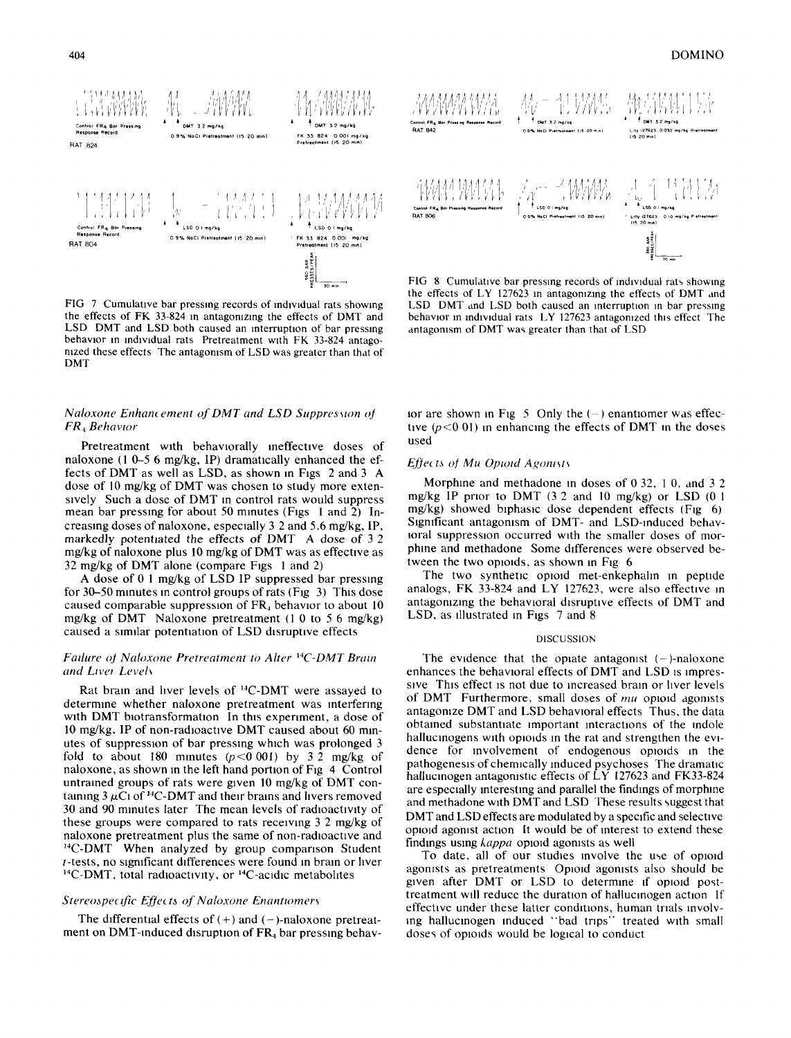

FIG 7 Cumulative bar pressing records of individual rats showing the effects of FK 33-824 in antagonizing the effects of DMT and LSD DMT and LSD both caused an interruption of bar pressing behavior in individual rats Pretreatment with FK 33-824 antagonized these effects The antagonism of LSD was greater than that of **DMT** 

# Naloxone Enhancement of DMT and LSD Suppression of FR<sub>4</sub> Behavior

Pretreatment with behaviorally ineffective doses of naloxone (1 0–5 6 mg/kg, IP) dramatically enhanced the effects of DMT as well as LSD, as shown in Figs 2 and 3 A dose of 10 mg/kg of DMT was chosen to study more extensively Such a dose of DMT in control rats would suppress mean bar pressing for about 50 minutes (Figs  $1$  and  $2$ ) Increasing doses of naloxone, especially 3 2 and 5.6 mg/kg, IP, markedly potentiated the effects of DMT A dose of 32 mg/kg of naloxone plus 10 mg/kg of DMT was as effective as 32 mg/kg of DMT alone (compare Figs 1 and 2)

A dose of 0.1 mg/kg of LSD IP suppressed bar pressing for  $30-50$  minutes in control groups of rats (Fig. 3) This dose caused comparable suppression of  $FR<sub>4</sub>$  behavior to about 10 mg/kg of DMT Naloxone pretreatment (1.0 to 5.6 mg/kg) caused a similar potentiation of LSD disruptive effects

### Failure of Naloxone Pretreatment to Alter <sup>14</sup>C-DMT Brain and Liver Levels

Rat brain and liver levels of <sup>14</sup>C-DMT were assayed to determine whether naloxone pretreatment was interfering with DMT biotransformation. In this experiment, a dose of 10 mg/kg, IP of non-radioactive DMT caused about 60 minutes of suppression of bar pressing which was prolonged 3 fold to about 180 minutes  $(p<0.001)$  by 3.2 mg/kg of naloxone, as shown in the left hand portion of Fig. 4 Control untrained groups of rats were given 10 mg/kg of DMT containing  $3 \mu$ Ci of <sup>14</sup>C-DMT and their brains and livers removed 30 and 90 minutes later The mean levels of radioactivity of these groups were compared to rats receiving 3.2 mg/kg of naloxone pretreatment plus the same of non-radioactive and <sup>14</sup>C-DMT When analyzed by group comparison Student *t*-tests, no significant differences were found in brain or liver <sup>14</sup>C-DMT, total radioactivity, or <sup>14</sup>C-acidic metabolites

#### Stereospecific Effects of Naloxone Enantiomers

The differential effects of  $(+)$  and  $(-)$ -naloxone pretreatment on DMT-induced disruption of FR<sub>4</sub> bar pressing behav-



FIG 8 Cumulative bar pressing records of individual rats showing the effects of LY 127623 in antagonizing the effects of DMT and LSD DMT and LSD both caused an interruption in bar pressing behavior in individual rats LY 127623 antagonized this effect The antagonism of DMT was greater than that of LSD

for are shown in Fig. 5. Only the  $(-)$  enantiomer was effective  $(p<0.01)$  in enhancing the effects of DMT in the doses used

#### Effects of Mu Opioid Agonists

Morphine and methodone in doses of 0.32, 1.0, and 3.2 mg/kg IP prior to DMT (3.2 and 10 mg/kg) or LSD (0.1  $mg/kg$ ) showed biphasic dose dependent effects (Fig. 6) Significant antagonism of DMT- and LSD-induced behavioral suppression occurred with the smaller doses of morphine and methadone Some differences were observed between the two opioids, as shown in Fig. 6

The two synthetic opioid met-enkephalin in peptide analogs, FK 33-824 and LY 127623, were also effective in antagonizing the behavioral disruptive effects of DMT and LSD, as illustrated in Figs 7 and 8

#### **DISCUSSION**

The evidence that the opiate antagonist  $(-)$ -naloxone enhances the behavioral effects of DMT and LSD is impressive This effect is not due to increased brain or liver levels of DMT Furthermore, small doses of mu opioid agonists antagonize DMT and LSD behavioral effects Thus, the data obtained substantiate important interactions of the indole hallucinogens with opioids in the rat and strengthen the evidence for involvement of endogenous opioids in the pathogenesis of chemically induced psychoses. The dramatic hallucinogen antagonistic effects of LY 127623 and FK33-824 are especially interesting and parallel the findings of morphine and methadone with DMT and LSD These results suggest that DMT and LSD effects are modulated by a specific and selective opioid agonist action It would be of interest to extend these findings using kappa opioid agonists as well

To date, all of our studies involve the use of opioid agonists as pretreatments Opioid agonists also should be given after DMT or LSD to determine if opioid posttreatment will reduce the duration of hallucinogen action If effective under these latter conditions, human trials involving hallucinogen induced "bad trips" treated with small doses of opioids would be logical to conduct